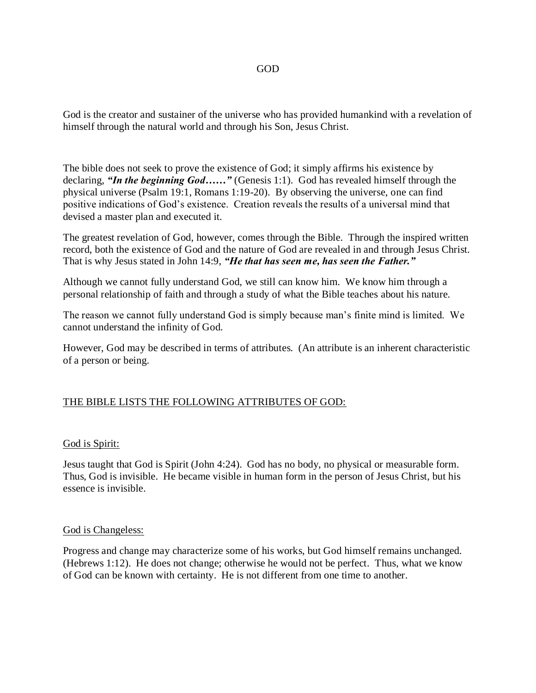### GOD

God is the creator and sustainer of the universe who has provided humankind with a revelation of himself through the natural world and through his Son, Jesus Christ.

The bible does not seek to prove the existence of God; it simply affirms his existence by declaring, *"In the beginning God……"* (Genesis 1:1). God has revealed himself through the physical universe (Psalm 19:1, Romans 1:19-20). By observing the universe, one can find positive indications of God's existence. Creation reveals the results of a universal mind that devised a master plan and executed it.

The greatest revelation of God, however, comes through the Bible. Through the inspired written record, both the existence of God and the nature of God are revealed in and through Jesus Christ. That is why Jesus stated in John 14:9, *"He that has seen me, has seen the Father."*

Although we cannot fully understand God, we still can know him. We know him through a personal relationship of faith and through a study of what the Bible teaches about his nature.

The reason we cannot fully understand God is simply because man's finite mind is limited. We cannot understand the infinity of God.

However, God may be described in terms of attributes. (An attribute is an inherent characteristic of a person or being.

## THE BIBLE LISTS THE FOLLOWING ATTRIBUTES OF GOD:

### God is Spirit:

Jesus taught that God is Spirit (John 4:24). God has no body, no physical or measurable form. Thus, God is invisible. He became visible in human form in the person of Jesus Christ, but his essence is invisible.

### God is Changeless:

Progress and change may characterize some of his works, but God himself remains unchanged. (Hebrews 1:12). He does not change; otherwise he would not be perfect. Thus, what we know of God can be known with certainty. He is not different from one time to another.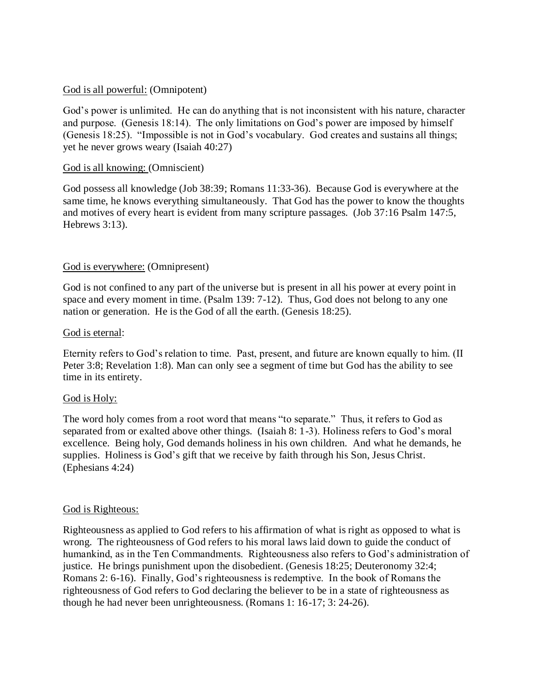## God is all powerful: (Omnipotent)

God's power is unlimited. He can do anything that is not inconsistent with his nature, character and purpose. (Genesis 18:14). The only limitations on God's power are imposed by himself (Genesis 18:25). "Impossible is not in God's vocabulary. God creates and sustains all things; yet he never grows weary (Isaiah 40:27)

## God is all knowing: (Omniscient)

God possess all knowledge (Job 38:39; Romans 11:33-36). Because God is everywhere at the same time, he knows everything simultaneously. That God has the power to know the thoughts and motives of every heart is evident from many scripture passages. (Job 37:16 Psalm 147:5, Hebrews 3:13).

# God is everywhere: (Omnipresent)

God is not confined to any part of the universe but is present in all his power at every point in space and every moment in time. (Psalm 139: 7-12). Thus, God does not belong to any one nation or generation. He is the God of all the earth. (Genesis 18:25).

## God is eternal:

Eternity refers to God's relation to time. Past, present, and future are known equally to him. (II Peter 3:8; Revelation 1:8). Man can only see a segment of time but God has the ability to see time in its entirety.

## God is Holy:

The word holy comes from a root word that means "to separate." Thus, it refers to God as separated from or exalted above other things. (Isaiah 8: 1-3). Holiness refers to God's moral excellence. Being holy, God demands holiness in his own children. And what he demands, he supplies. Holiness is God's gift that we receive by faith through his Son, Jesus Christ. (Ephesians 4:24)

## God is Righteous:

Righteousness as applied to God refers to his affirmation of what is right as opposed to what is wrong. The righteousness of God refers to his moral laws laid down to guide the conduct of humankind, as in the Ten Commandments. Righteousness also refers to God's administration of justice. He brings punishment upon the disobedient. (Genesis 18:25; Deuteronomy 32:4; Romans 2: 6-16). Finally, God's righteousness is redemptive. In the book of Romans the righteousness of God refers to God declaring the believer to be in a state of righteousness as though he had never been unrighteousness. (Romans 1: 16-17; 3: 24-26).